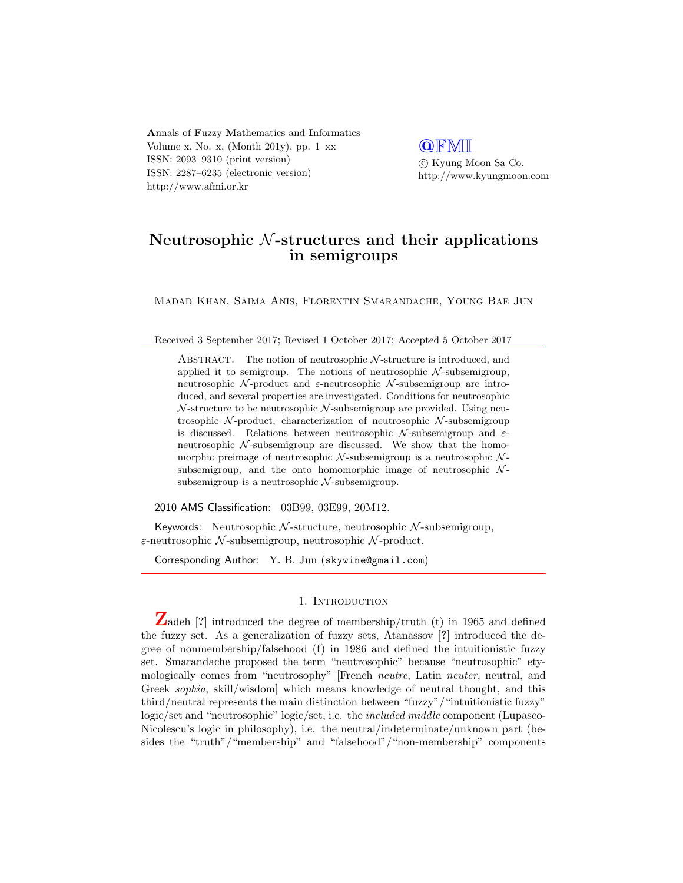Annals of Fuzzy Mathematics and Informatics Volume x, No. x, (Month 201y), pp.  $1-xx$ ISSN: 2093–9310 (print version) ISSN: 2287–6235 (electronic version) http://www.afmi.or.kr

**QFMI**  c Kyung Moon Sa Co. http://www.kyungmoon.com

# Neutrosophic  $N$ -structures and their applications in semigroups

Madad Khan, Saima Anis, Florentin Smarandache, Young Bae Jun

#### Received 3 September 2017; Revised 1 October 2017; Accepted 5 October 2017

ABSTRACT. The notion of neutrosophic  $N$ -structure is introduced, and applied it to semigroup. The notions of neutrosophic  $N$ -subsemigroup, neutrosophic  $\mathcal{N}$ -product and  $\varepsilon$ -neutrosophic  $\mathcal{N}$ -subsemigroup are introduced, and several properties are investigated. Conditions for neutrosophic  $\mathcal N$ -structure to be neutrosophic  $\mathcal N$ -subsemigroup are provided. Using neutrosophic  $\mathcal{N}$ -product, characterization of neutrosophic  $\mathcal{N}$ -subsemigroup is discussed. Relations between neutrosophic  $\mathcal{N}$ -subsemigroup and  $\varepsilon$ neutrosophic  $N$ -subsemigroup are discussed. We show that the homomorphic preimage of neutrosophic  $N$ -subsemigroup is a neutrosophic  $N$ subsemigroup, and the onto homomorphic image of neutrosophic  $N$ subsemigroup is a neutrosophic  $N$ -subsemigroup.

2010 AMS Classification: 03B99, 03E99, 20M12.

Keywords: Neutrosophic  $N$ -structure, neutrosophic  $N$ -subsemigroup,  $\varepsilon$ -neutrosophic  $\mathcal N$ -subsemigroup, neutrosophic  $\mathcal N$ -product.

Corresponding Author: Y. B. Jun (skywine@gmail.com)

# 1. INTRODUCTION

Zadeh [?] introduced the degree of membership/truth  $(t)$  in 1965 and defined the fuzzy set. As a generalization of fuzzy sets, Atanassov [?] introduced the degree of nonmembership/falsehood (f) in 1986 and defined the intuitionistic fuzzy set. Smarandache proposed the term "neutrosophic" because "neutrosophic" etymologically comes from "neutrosophy" [French neutre, Latin neuter, neutral, and Greek sophia, skill/wisdom] which means knowledge of neutral thought, and this third/neutral represents the main distinction between "fuzzy"/"intuitionistic fuzzy" logic/set and "neutrosophic" logic/set, i.e. the included middle component (Lupasco-Nicolescu's logic in philosophy), i.e. the neutral/indeterminate/unknown part (besides the "truth"/"membership" and "falsehood"/"non-membership" components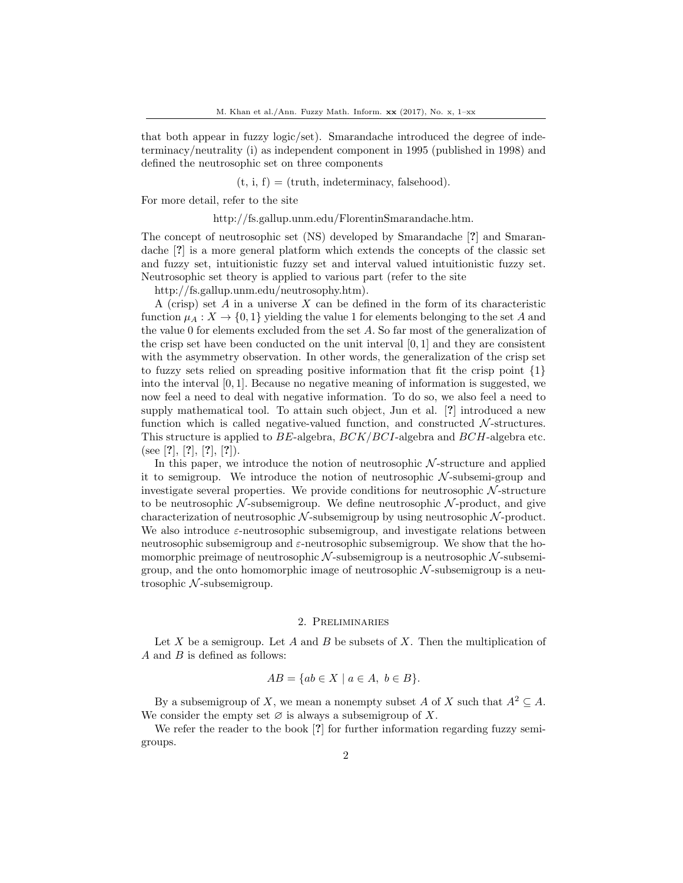that both appear in fuzzy logic/set). Smarandache introduced the degree of indeterminacy/neutrality (i) as independent component in 1995 (published in 1998) and defined the neutrosophic set on three components

 $(t, i, f) = (truth, indeterminacy, falsehood).$ 

For more detail, refer to the site

http://fs.gallup.unm.edu/FlorentinSmarandache.htm.

The concept of neutrosophic set (NS) developed by Smarandache [?] and Smarandache [?] is a more general platform which extends the concepts of the classic set and fuzzy set, intuitionistic fuzzy set and interval valued intuitionistic fuzzy set. Neutrosophic set theory is applied to various part (refer to the site

http://fs.gallup.unm.edu/neutrosophy.htm).

A (crisp) set  $A$  in a universe  $X$  can be defined in the form of its characteristic function  $\mu_A : X \to \{0,1\}$  yielding the value 1 for elements belonging to the set A and the value 0 for elements excluded from the set A. So far most of the generalization of the crisp set have been conducted on the unit interval  $[0, 1]$  and they are consistent with the asymmetry observation. In other words, the generalization of the crisp set to fuzzy sets relied on spreading positive information that fit the crisp point  $\{1\}$ into the interval  $[0, 1]$ . Because no negative meaning of information is suggested, we now feel a need to deal with negative information. To do so, we also feel a need to supply mathematical tool. To attain such object, Jun et al. [?] introduced a new function which is called negative-valued function, and constructed  $\mathcal{N}$ -structures. This structure is applied to  $BE$ -algebra,  $BCK/BCI$ -algebra and  $BCH$ -algebra etc.  $($ see [?], [?], [?], [?]).

In this paper, we introduce the notion of neutrosophic  $N$ -structure and applied it to semigroup. We introduce the notion of neutrosophic  $N$ -subsemi-group and investigate several properties. We provide conditions for neutrosophic  $N$ -structure to be neutrosophic  $\mathcal N$ -subsemigroup. We define neutrosophic  $\mathcal N$ -product, and give characterization of neutrosophic  $\mathcal{N}$ -subsemigroup by using neutrosophic  $\mathcal{N}$ -product. We also introduce  $\varepsilon$ -neutrosophic subsemigroup, and investigate relations between neutrosophic subsemigroup and  $\varepsilon$ -neutrosophic subsemigroup. We show that the homomorphic preimage of neutrosophic  $N$ -subsemigroup is a neutrosophic  $N$ -subsemigroup, and the onto homomorphic image of neutrosophic  $N$ -subsemigroup is a neutrosophic  $N$ -subsemigroup.

## 2. Preliminaries

Let X be a semigroup. Let A and B be subsets of X. Then the multiplication of  $A$  and  $B$  is defined as follows:

$$
AB = \{ ab \in X \mid a \in A, b \in B \}.
$$

By a subsemigroup of X, we mean a nonempty subset A of X such that  $A^2 \subseteq A$ . We consider the empty set  $\varnothing$  is always a subsemigroup of X.

We refer the reader to the book [?] for further information regarding fuzzy semigroups.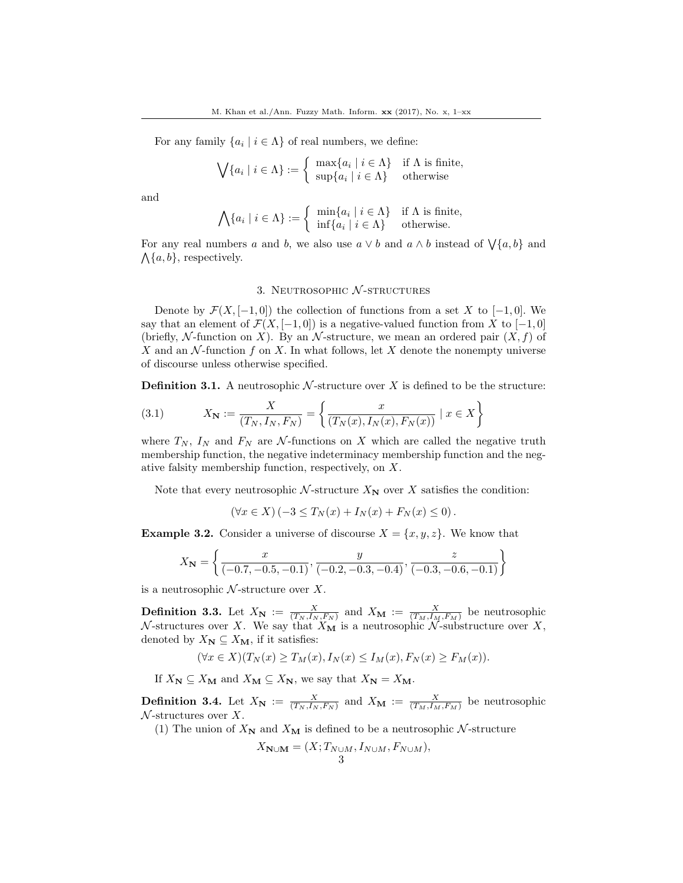For any family  $\{a_i \mid i \in \Lambda\}$  of real numbers, we define:

$$
\bigvee \{a_i \mid i \in \Lambda\} := \left\{ \begin{array}{ll} \max \{a_i \mid i \in \Lambda\} & \text{if } \Lambda \text{ is finite,} \\ \sup \{a_i \mid i \in \Lambda\} & \text{otherwise} \end{array} \right.
$$

and

$$
\bigwedge \{a_i \mid i \in \Lambda\} := \left\{ \begin{array}{ll} \min \{a_i \mid i \in \Lambda\} & \text{if } \Lambda \text{ is finite,} \\ \inf \{a_i \mid i \in \Lambda\} & \text{otherwise.} \end{array} \right.
$$

For any real numbers a and b, we also use  $a \vee b$  and  $a \wedge b$  instead of  $\bigvee \{a, b\}$  and  $\Lambda$ {a, b}, respectively.

## 3. NEUTROSOPHIC  $N$ -STRUCTURES

Denote by  $\mathcal{F}(X, [-1, 0])$  the collection of functions from a set X to  $[-1, 0]$ . We say that an element of  $\mathcal{F}(X, [-1, 0])$  is a negative-valued function from X to  $[-1, 0]$ (briefly, N-function on X). By an N-structure, we mean an ordered pair  $(X, f)$  of X and an  $\mathcal N$ -function f on X. In what follows, let X denote the nonempty universe of discourse unless otherwise specified.

**Definition 3.1.** A neutrosophic  $N$ -structure over X is defined to be the structure:

(3.1) 
$$
X_{N} := \frac{X}{(T_{N}, I_{N}, F_{N})} = \left\{ \frac{x}{(T_{N}(x), I_{N}(x), F_{N}(x))} \mid x \in X \right\}
$$

where  $T_N$ ,  $I_N$  and  $F_N$  are  $\mathcal N$ -functions on X which are called the negative truth membership function, the negative indeterminacy membership function and the negative falsity membership function, respectively, on X.

Note that every neutrosophic  $\mathcal{N}$ -structure  $X_N$  over X satisfies the condition:

$$
(\forall x \in X) \left(-3 \le T_N(x) + I_N(x) + F_N(x) \le 0\right).
$$

**Example 3.2.** Consider a universe of discourse  $X = \{x, y, z\}$ . We know that

$$
X_{\mathbf{N}} = \left\{ \frac{x}{(-0.7, -0.5, -0.1)}, \frac{y}{(-0.2, -0.3, -0.4)}, \frac{z}{(-0.3, -0.6, -0.1)} \right\}
$$

is a neutrosophic  $N$ -structure over X.

**Definition 3.3.** Let  $X_N := \frac{X}{(T_N, I_N, F_N)}$  and  $X_M := \frac{X}{(T_M, I_M, F_M)}$  be neutrosophic N-structures over X. We say that  $X_{\mathbf{M}}$  is a neutrosophic N-substructure over X, denoted by  $X_{\mathbf{N}} \subseteq X_{\mathbf{M}}$ , if it satisfies:

$$
(\forall x \in X)(T_N(x) \ge T_M(x), I_N(x) \le I_M(x), F_N(x) \ge F_M(x)).
$$

If  $X_{\mathbf{N}} \subseteq X_{\mathbf{M}}$  and  $X_{\mathbf{M}} \subseteq X_{\mathbf{N}}$ , we say that  $X_{\mathbf{N}} = X_{\mathbf{M}}$ .

**Definition 3.4.** Let  $X_N := \frac{X}{(T_N, I_N, F_N)}$  and  $X_M := \frac{X}{(T_M, I_M, F_M)}$  be neutrosophic  $\mathcal N$ -structures over X.

(1) The union of  $X_N$  and  $X_M$  is defined to be a neutrosophic N-structure

$$
X_{\mathbf{N}\cup\mathbf{M}} = (X; T_{N\cup M}, I_{N\cup M}, F_{N\cup M}),
$$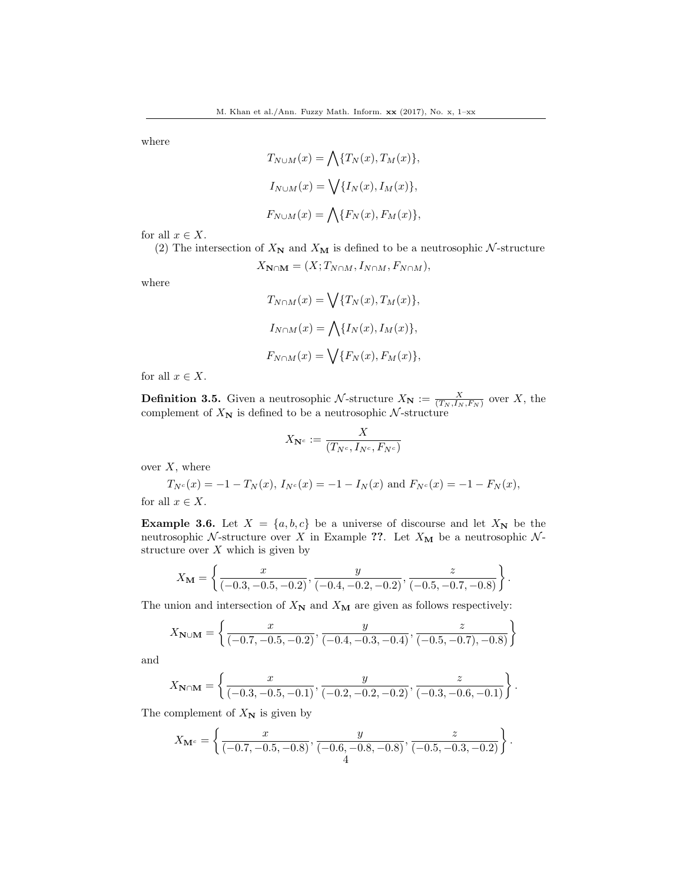where

$$
T_{N \cup M}(x) = \bigwedge \{T_N(x), T_M(x)\},
$$
  
\n
$$
I_{N \cup M}(x) = \bigvee \{I_N(x), I_M(x)\},
$$
  
\n
$$
F_{N \cup M}(x) = \bigwedge \{F_N(x), F_M(x)\},
$$

for all  $x \in X$ .

(2) The intersection of  $X_N$  and  $X_M$  is defined to be a neutrosophic  $\mathcal N$ -structure

$$
X_{\mathbf{N}\cap\mathbf{M}}=(X;T_{N\cap M},I_{N\cap M},F_{N\cap M}),
$$

where

$$
T_{N\cap M}(x) = \bigvee \{T_N(x), T_M(x)\},
$$
  
\n
$$
I_{N\cap M}(x) = \bigwedge \{I_N(x), I_M(x)\},
$$
  
\n
$$
F_{N\cap M}(x) = \bigvee \{F_N(x), F_M(x)\},
$$

for all  $x \in X$ .

**Definition 3.5.** Given a neutrosophic N-structure  $X_N := \frac{X}{(T_N, I_N, F_N)}$  over X, the complement of  $X_N$  is defined to be a neutrosophic N-structure

$$
X_{\mathbf{N}^c}:=\frac{X}{(T_{N^c},I_{N^c},F_{N^c})}
$$

over  $X$ , where

$$
T_{N^c}(x) = -1 - T_N(x), I_{N^c}(x) = -1 - I_N(x) \text{ and } F_{N^c}(x) = -1 - F_N(x),
$$

for all  $x \in X$ .

**Example 3.6.** Let  $X = \{a, b, c\}$  be a universe of discourse and let  $X_N$  be the neutrosophic  $\mathcal N$ -structure over X in Example ??. Let  $X_{\mathbf M}$  be a neutrosophic  $\mathcal N$ structure over  $X$  which is given by

$$
X_{\mathbf{M}} = \left\{ \frac{x}{(-0.3, -0.5, -0.2)}, \frac{y}{(-0.4, -0.2, -0.2)}, \frac{z}{(-0.5, -0.7, -0.8)} \right\}.
$$

The union and intersection of  $X_N$  and  $X_M$  are given as follows respectively:

$$
X_{\mathbf{N}\cup\mathbf{M}} = \left\{ \frac{x}{(-0.7, -0.5, -0.2)}, \frac{y}{(-0.4, -0.3, -0.4)}, \frac{z}{(-0.5, -0.7), -0.8} \right\}
$$

and

$$
X_{\mathbf{N}\cap\mathbf{M}} = \left\{ \frac{x}{(-0.3, -0.5, -0.1)}, \frac{y}{(-0.2, -0.2, -0.2)}, \frac{z}{(-0.3, -0.6, -0.1)} \right\}.
$$

The complement of  $X_N$  is given by

$$
X_{\mathbf{M}^c} = \left\{ \frac{x}{(-0.7, -0.5, -0.8)}, \frac{y}{(-0.6, -0.8, -0.8)}, \frac{z}{(-0.5, -0.3, -0.2)} \right\}.
$$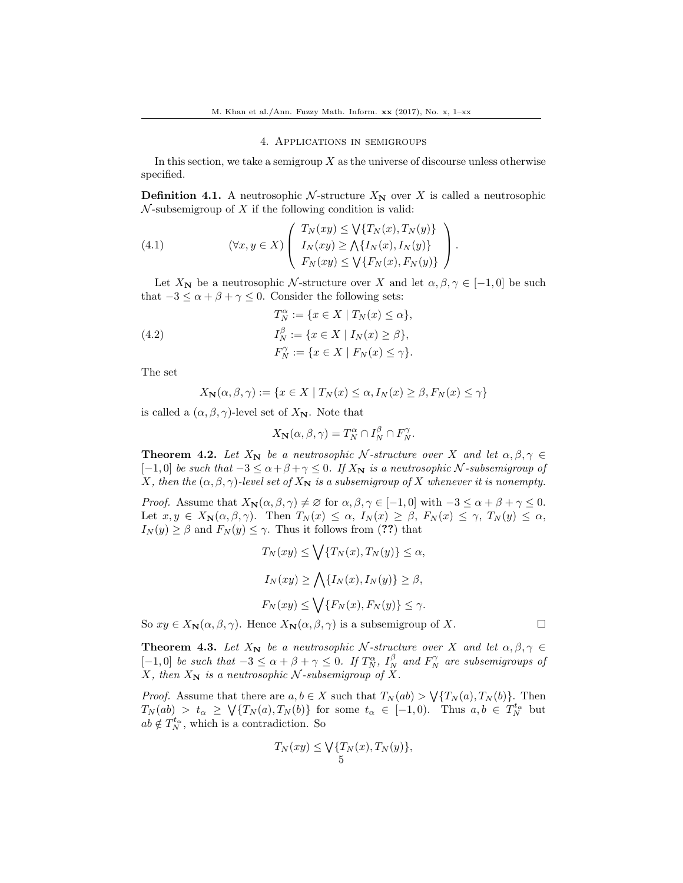## 4. Applications in semigroups

In this section, we take a semigroup  $X$  as the universe of discourse unless otherwise specified.

**Definition 4.1.** A neutrosophic N-structure  $X_N$  over X is called a neutrosophic  $\mathcal N$ -subsemigroup of X if the following condition is valid:

(4.1) 
$$
(\forall x, y \in X) \left( \begin{array}{c} T_N(xy) \leq \bigvee \{T_N(x), T_N(y)\} \\ I_N(xy) \geq \bigwedge \{I_N(x), I_N(y)\} \\ F_N(xy) \leq \bigvee \{F_N(x), F_N(y)\} \end{array} \right).
$$

Let  $X_N$  be a neutrosophic N-structure over X and let  $\alpha, \beta, \gamma \in [-1, 0]$  be such that  $-3 \le \alpha + \beta + \gamma \le 0$ . Consider the following sets:

(4.2) 
$$
T_N^{\alpha} := \{ x \in X \mid T_N(x) \le \alpha \},
$$

$$
I_N^{\beta} := \{ x \in X \mid I_N(x) \ge \beta \},
$$

$$
F_N^{\gamma} := \{ x \in X \mid F_N(x) \le \gamma \}.
$$

The set

$$
X_{\mathbf{N}}(\alpha, \beta, \gamma) := \{ x \in X \mid T_N(x) \le \alpha, I_N(x) \ge \beta, F_N(x) \le \gamma \}
$$

is called a  $(\alpha, \beta, \gamma)$ -level set of  $X_N$ . Note that

$$
X_{\mathbf{N}}(\alpha, \beta, \gamma) = T_N^{\alpha} \cap I_N^{\beta} \cap F_N^{\gamma}.
$$

**Theorem 4.2.** Let  $X_N$  be a neutrosophic N-structure over X and let  $\alpha, \beta, \gamma \in$  $[-1, 0]$  be such that  $-3 \le \alpha + \beta + \gamma \le 0$ . If  $X_N$  is a neutrosophic N-subsemigroup of X, then the  $(\alpha, \beta, \gamma)$ -level set of  $X_N$  is a subsemigroup of X whenever it is nonempty.

*Proof.* Assume that  $X_{\mathbf{N}}(\alpha, \beta, \gamma) \neq \emptyset$  for  $\alpha, \beta, \gamma \in [-1, 0]$  with  $-3 \leq \alpha + \beta + \gamma \leq 0$ . Let  $x, y \in X_{\mathbf{N}}(\alpha, \beta, \gamma)$ . Then  $T_N(x) \leq \alpha$ ,  $I_N(x) \geq \beta$ ,  $F_N(x) \leq \gamma$ ,  $T_N(y) \leq \alpha$ ,  $I_N(y) \geq \beta$  and  $F_N(y) \leq \gamma$ . Thus it follows from (??) that

$$
T_N(xy) \le \bigvee \{T_N(x), T_N(y)\} \le \alpha,
$$
  
\n
$$
I_N(xy) \ge \bigwedge \{I_N(x), I_N(y)\} \ge \beta,
$$
  
\n
$$
F_N(xy) \le \bigvee \{F_N(x), F_N(y)\} \le \gamma.
$$

So  $xy \in X_{\mathbf{N}}(\alpha, \beta, \gamma)$ . Hence  $X_{\mathbf{N}}(\alpha, \beta, \gamma)$  is a subsemigroup of X.

**Theorem 4.3.** Let  $X_N$  be a neutrosophic N-structure over X and let  $\alpha, \beta, \gamma \in$ [-1,0] be such that  $-3 \le \alpha + \beta + \gamma \le 0$ . If  $T_N^{\alpha}$ ,  $I_N^{\beta}$  and  $F_N^{\gamma}$  are subsemigroups of X, then  $X_N$  is a neutrosophic N-subsemigroup of X.

*Proof.* Assume that there are  $a, b \in X$  such that  $T_N(ab) > \sqrt{\{T_N(a), T_N(b)\}}$ . Then  $T_N(ab) > t_\alpha \geq \sqrt{\{T_N(a), T_N(b)\}}$  for some  $t_\alpha \in [-1, 0)$ . Thus  $a, b \in T_N^{t_\alpha}$  but  $ab \notin T_N^{t_\alpha}$ , which is a contradiction. So

$$
T_N(xy) \le \bigvee \{T_N(x), T_N(y)\},\,
$$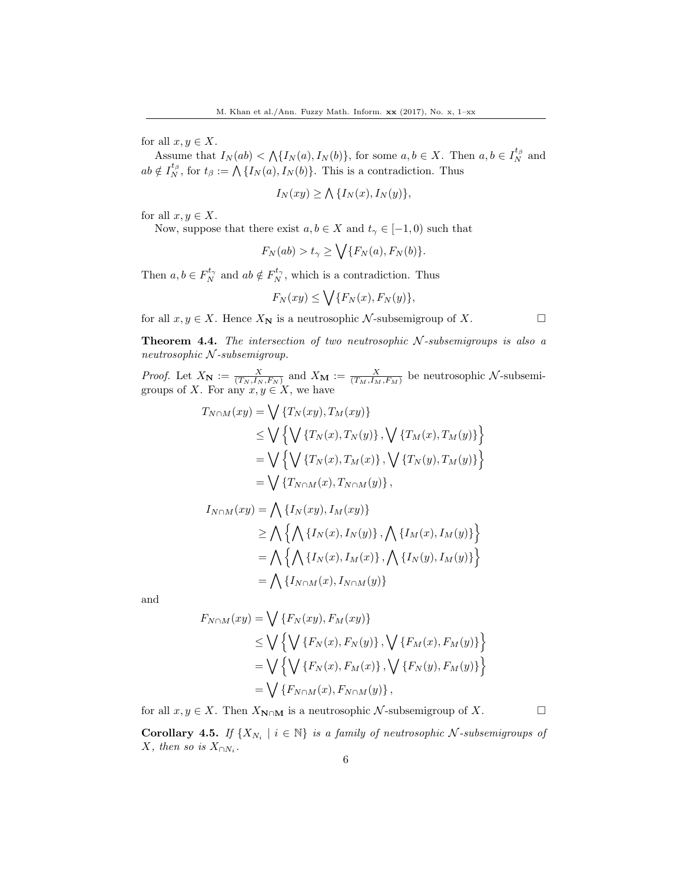for all  $x, y \in X$ .

Assume that  $I_N(ab) < \bigwedge \{I_N(a), I_N(b)\}\$ , for some  $a, b \in X$ . Then  $a, b \in I_N^{t_\beta}$  and  $ab \notin I_N^{t_\beta}$ , for  $t_\beta := \bigwedge \{I_N(a), I_N(b)\}.$  This is a contradiction. Thus

$$
I_N(xy) \ge \bigwedge \{I_N(x), I_N(y)\},\
$$

for all  $x, y \in X$ .

Now, suppose that there exist  $a, b \in X$  and  $t_{\gamma} \in [-1, 0)$  such that

$$
F_N(ab) > t_\gamma \ge \bigvee \{F_N(a), F_N(b)\}.
$$

Then  $a, b \in F_N^{t_\gamma}$  and  $ab \notin F_N^{t_\gamma}$ , which is a contradiction. Thus

$$
F_N(xy) \le \bigvee \{F_N(x), F_N(y)\},\
$$

for all  $x, y \in X$ . Hence  $X_N$  is a neutrosophic N-subsemigroup of X.

**Theorem 4.4.** The intersection of two neutrosophic  $N$ -subsemigroups is also a neutrosophic  $N$ -subsemigroup.

*Proof.* Let  $X_N := \frac{X}{(T_N, I_N, F_N)}$  and  $X_M := \frac{X}{(T_M, I_M, F_M)}$  be neutrosophic N-subsemigroups of X. For any  $x, y \in X$ , we have

$$
T_{N\cap M}(xy) = \bigvee \{T_N(xy), T_M(xy)\}
$$
  
\n
$$
\leq \bigvee \left\{ \bigvee \{T_N(x), T_N(y)\}, \bigvee \{T_M(x), T_M(y)\} \right\}
$$
  
\n
$$
= \bigvee \left\{ \bigvee \{T_N(x), T_M(x)\}, \bigvee \{T_N(y), T_M(y)\} \right\}
$$
  
\n
$$
= \bigvee \{T_{N\cap M}(x), T_{N\cap M}(y)\},
$$

$$
I_{N\cap M}(xy) = \bigwedge \{I_N(xy), I_M(xy)\}
$$
  
\n
$$
\geq \bigwedge \{ \bigwedge \{I_N(x), I_N(y)\}, \bigwedge \{I_M(x), I_M(y)\} \}
$$
  
\n
$$
= \bigwedge \{ \bigwedge \{I_N(x), I_M(x)\}, \bigwedge \{I_N(y), I_M(y)\} \}
$$
  
\n
$$
= \bigwedge \{I_{N\cap M}(x), I_{N\cap M}(y)\}
$$

and

$$
F_{N \cap M}(xy) = \bigvee \{F_N(xy), F_M(xy)\}
$$
  
\n
$$
\leq \bigvee \{ \bigvee \{F_N(x), F_N(y)\}, \bigvee \{F_M(x), F_M(y)\} \}
$$
  
\n
$$
= \bigvee \{ \bigvee \{F_N(x), F_M(x)\}, \bigvee \{F_N(y), F_M(y)\} \}
$$
  
\n
$$
= \bigvee \{F_{N \cap M}(x), F_{N \cap M}(y)\},
$$

for all  $x, y \in X$ . Then  $X_{\mathbb{N} \cap \mathbb{M}}$  is a neutrosophic  $\mathcal{N}$ -subsemigroup of X.

**Corollary 4.5.** If  $\{X_{N_i} \mid i \in \mathbb{N}\}\$ is a family of neutrosophic N-subsemigroups of X, then so is  $X_{\cap N_i}$ .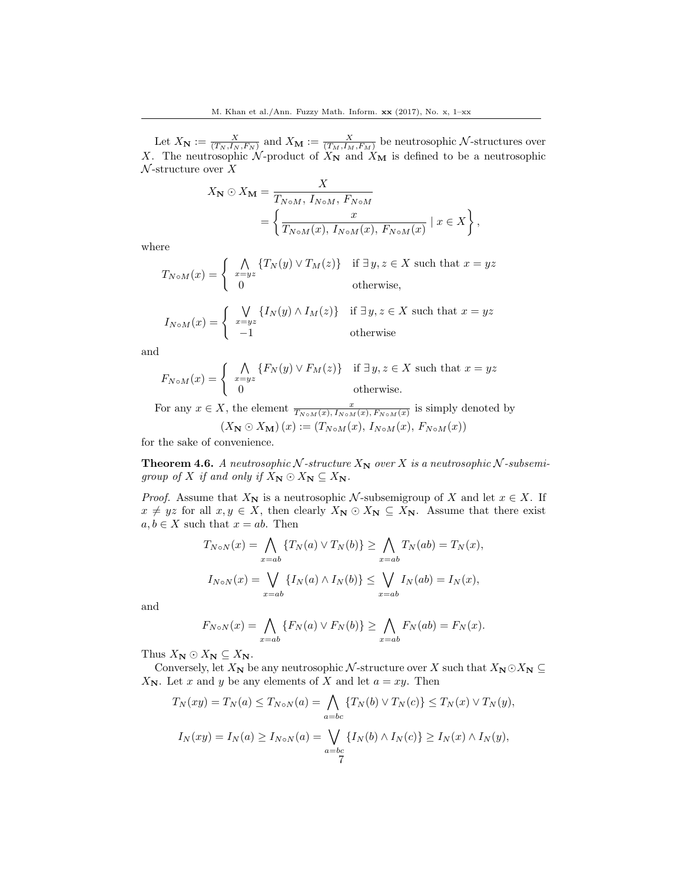Let  $X_N := \frac{X}{(T_N, I_N, F_N)}$  and  $X_M := \frac{X}{(T_M, I_M, F_M)}$  be neutrosophic  $N$ -structures over X. The neutrosophic N-product of  $X_N$  and  $X_M$  is defined to be a neutrosophic  $\mathcal N$ -structure over X

$$
X_{\mathbf{N}} \odot X_{\mathbf{M}} = \frac{X}{T_{N \circ M}, I_{N \circ M}, F_{N \circ M}}
$$
  
= 
$$
\left\{ \frac{x}{T_{N \circ M}(x), I_{N \circ M}(x), F_{N \circ M}(x)} \mid x \in X \right\},
$$

where

$$
T_{N \circ M}(x) = \begin{cases} \bigwedge_{x=yz} \{T_N(y) \vee T_M(z)\} & \text{if } \exists y, z \in X \text{ such that } x = yz \\ 0 & \text{otherwise,} \end{cases}
$$

$$
I_{N \circ M}(x) = \begin{cases} \sqrt{\sqrt{I_N(y) \wedge I_M(z)}} & \text{if } \exists y, z \in X \text{ such that } x = yz \\ -1 & \text{otherwise} \end{cases}
$$

and

$$
F_{N \circ M}(x) = \begin{cases} \bigwedge_{x=yz} \{ F_N(y) \lor F_M(z) \} & \text{if } \exists y, z \in X \text{ such that } x = yz \\ 0 & \text{otherwise.} \end{cases}
$$

For any  $x \in X$ , the element  $\frac{x}{T_{N \circ M}(x), T_{N \circ M}(x), F_{N \circ M}(x)}$  is simply denoted by  $(X_N \odot X_M)(x) := (T_{N \circ M}(x), I_{N \circ M}(x), F_{N \circ M}(x))$ 

for the sake of convenience.

**Theorem 4.6.** A neutrosophic N-structure  $X_N$  over X is a neutrosophic N-subsemigroup of X if and only if  $X_{\mathbf{N}} \odot X_{\mathbf{N}} \subseteq X_{\mathbf{N}}$ .

*Proof.* Assume that  $X_N$  is a neutrosophic N-subsemigroup of X and let  $x \in X$ . If  $x \neq yz$  for all  $x, y \in X$ , then clearly  $X_{N} \odot X_{N} \subseteq X_{N}$ . Assume that there exist  $a, b \in X$  such that  $x = ab$ . Then

$$
T_{N \circ N}(x) = \bigwedge_{x=ab} \{T_N(a) \lor T_N(b)\} \ge \bigwedge_{x=ab} T_N(ab) = T_N(x),
$$
  

$$
I_{N \circ N}(x) = \bigvee_{x=ab} \{I_N(a) \land I_N(b)\} \le \bigvee_{x=ab} I_N(ab) = I_N(x),
$$

and

$$
F_{N\circ N}(x) = \bigwedge_{x=ab} \{F_N(a) \vee F_N(b)\} \ge \bigwedge_{x=ab} F_N(ab) = F_N(x).
$$

Thus  $X_{\mathbf{N}} \odot X_{\mathbf{N}} \subseteq X_{\mathbf{N}}$ .

Conversely, let  $X_N$  be any neutrosophic N-structure over X such that  $X_N \odot X_N \subseteq$  $X_N$ . Let x and y be any elements of X and let  $a = xy$ . Then

$$
T_N(xy) = T_N(a) \le T_{N \circ N}(a) = \bigwedge_{a=bc} \{T_N(b) \lor T_N(c)\} \le T_N(x) \lor T_N(y),
$$
  

$$
I_N(xy) = I_N(a) \ge I_{N \circ N}(a) = \bigvee_{a=bc} \{I_N(b) \land I_N(c)\} \ge I_N(x) \land I_N(y),
$$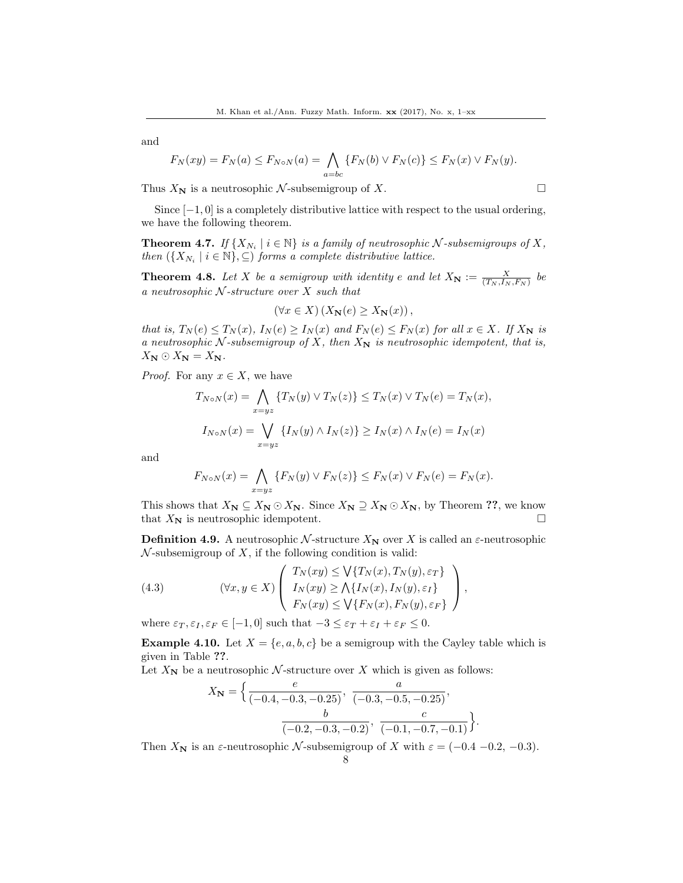$$
F_N(xy) = F_N(a) \le F_{N \circ N}(a) = \bigwedge_{a=bc} \{ F_N(b) \vee F_N(c) \} \le F_N(x) \vee F_N(y).
$$

Thus  $X_N$  is a neutrosophic  $\mathcal N$ -subsemigroup of X.

Since  $[-1, 0]$  is a completely distributive lattice with respect to the usual ordering, we have the following theorem.

**Theorem 4.7.** If  $\{X_{N_i} \mid i \in \mathbb{N}\}\$ is a family of neutrosophic  $N$ -subsemigroups of X, then  $({X_{N_i} \mid i \in \mathbb{N}}, \subseteq)$  forms a complete distributive lattice.

**Theorem 4.8.** Let X be a semigroup with identity e and let  $X_N := \frac{X}{(T_N, I_N, F_N)}$  be a neutrosophic  $N$ -structure over X such that

$$
(\forall x \in X) (X_{\mathbf{N}}(e) \ge X_{\mathbf{N}}(x)),
$$

that is,  $T_N(e) \le T_N(x)$ ,  $I_N(e) \ge I_N(x)$  and  $F_N(e) \le F_N(x)$  for all  $x \in X$ . If  $X_N$  is a neutrosophic  $N$ -subsemigroup of X, then  $X_N$  is neutrosophic idempotent, that is,  $X_{\mathbf{N}} \odot X_{\mathbf{N}} = X_{\mathbf{N}}.$ 

*Proof.* For any  $x \in X$ , we have

$$
T_{N \circ N}(x) = \bigwedge_{x = yz} \{T_N(y) \lor T_N(z)\} \le T_N(x) \lor T_N(e) = T_N(x),
$$
  

$$
I_{N \circ N}(x) = \bigvee_{x = yz} \{I_N(y) \land I_N(z)\} \ge I_N(x) \land I_N(e) = I_N(x)
$$

and

$$
F_{N \circ N}(x) = \bigwedge_{x = yz} \{ F_N(y) \lor F_N(z) \} \le F_N(x) \lor F_N(e) = F_N(x).
$$

This shows that  $X_N \subseteq X_N \odot X_N$ . Since  $X_N \supseteq X_N \odot X_N$ , by Theorem ??, we know that  $X_N$  is neutrosophic idempotent.

**Definition 4.9.** A neutrosophic N-structure  $X_N$  over X is called an  $\varepsilon$ -neutrosophic  $\mathcal N$ -subsemigroup of  $X$ , if the following condition is valid:

(4.3) 
$$
(\forall x, y \in X) \left( \begin{array}{c} T_N(xy) \leq \bigvee \{T_N(x), T_N(y), \varepsilon_T\} \\ I_N(xy) \geq \bigwedge \{I_N(x), I_N(y), \varepsilon_I\} \\ F_N(xy) \leq \bigvee \{F_N(x), F_N(y), \varepsilon_F\} \end{array} \right),
$$

where  $\varepsilon_T, \varepsilon_I, \varepsilon_F \in [-1, 0]$  such that  $-3 \leq \varepsilon_T + \varepsilon_I + \varepsilon_F \leq 0$ .

**Example 4.10.** Let  $X = \{e, a, b, c\}$  be a semigroup with the Cayley table which is given in Table ??.

Let  $X_N$  be a neutrosophic N-structure over X which is given as follows:

$$
X_{\mathbf{N}} = \left\{ \frac{e}{(-0.4, -0.3, -0.25)}, \frac{a}{(-0.3, -0.5, -0.25)}, \frac{b}{(-0.2, -0.3, -0.2)}, \frac{c}{(-0.1, -0.7, -0.1)} \right\}
$$

.

Then  $X_N$  is an  $\varepsilon$ -neutrosophic N-subsemigroup of X with  $\varepsilon = (-0.4 - 0.2, -0.3)$ .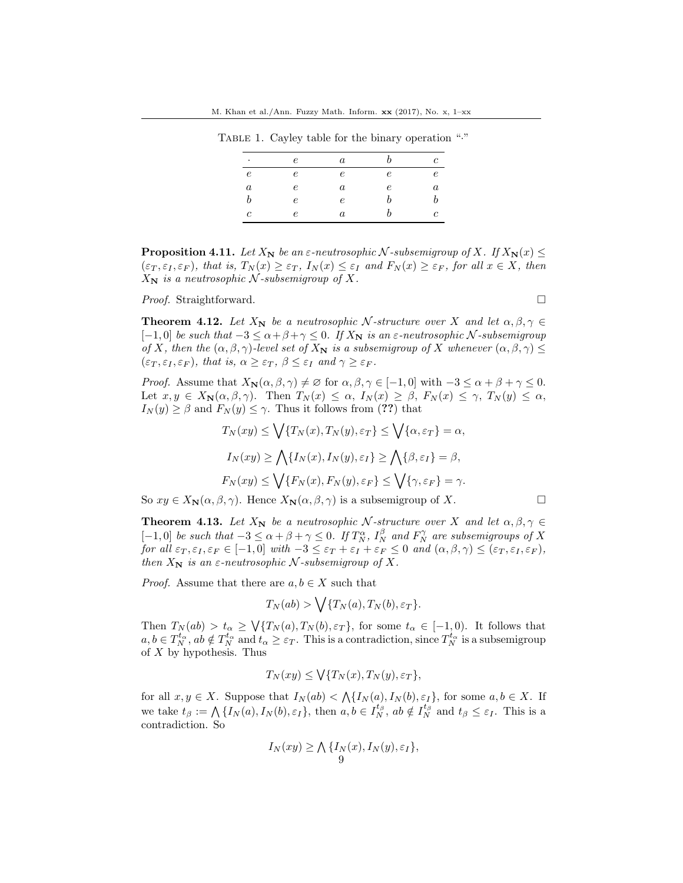TABLE 1. Cayley table for the binary operation "."

| $\cdot$    | е          | a          |            |   |
|------------|------------|------------|------------|---|
| $\epsilon$ | $\epsilon$ | $\epsilon$ | $\epsilon$ | e |
| $\it a$    | е          | a          | е          | а |
| b          | e          | $\epsilon$ |            |   |
| с          | е          | а          |            | C |

**Proposition 4.11.** Let  $X_N$  be an  $\varepsilon$ -neutrosophic N-subsemigroup of X. If  $X_N(x) \leq$  $(\varepsilon_T, \varepsilon_I, \varepsilon_F)$ , that is,  $T_N(x) \geq \varepsilon_T$ ,  $I_N(x) \leq \varepsilon_I$  and  $F_N(x) \geq \varepsilon_F$ , for all  $x \in X$ , then  $X_N$  is a neutrosophic N-subsemigroup of X.

Proof. Straightforward. □

**Theorem 4.12.** Let  $X_N$  be a neutrosophic N-structure over X and let  $\alpha, \beta, \gamma \in$  $[-1, 0]$  be such that  $-3 \le \alpha + \beta + \gamma \le 0$ . If  $X_N$  is an  $\varepsilon$ -neutrosophic N-subsemigroup of X, then the  $(\alpha, \beta, \gamma)$ -level set of  $X_N$  is a subsemigroup of X whenever  $(\alpha, \beta, \gamma) \leq$  $(\varepsilon_T, \varepsilon_I, \varepsilon_F)$ , that is,  $\alpha \geq \varepsilon_T$ ,  $\beta \leq \varepsilon_I$  and  $\gamma \geq \varepsilon_F$ .

*Proof.* Assume that  $X_{\mathbf{N}}(\alpha, \beta, \gamma) \neq \emptyset$  for  $\alpha, \beta, \gamma \in [-1, 0]$  with  $-3 \leq \alpha + \beta + \gamma \leq 0$ . Let  $x, y \in X_{\mathbb{N}}(\alpha, \beta, \gamma)$ . Then  $T_N(x) \leq \alpha$ ,  $I_N(x) \geq \beta$ ,  $F_N(x) \leq \gamma$ ,  $T_N(y) \leq \alpha$ ,  $I_N(y) \geq \beta$  and  $F_N(y) \leq \gamma$ . Thus it follows from (??) that

$$
T_N(xy) \le \bigvee \{T_N(x), T_N(y), \varepsilon_T\} \le \bigvee \{\alpha, \varepsilon_T\} = \alpha,
$$
  
\n
$$
I_N(xy) \ge \bigwedge \{I_N(x), I_N(y), \varepsilon_I\} \ge \bigwedge \{\beta, \varepsilon_I\} = \beta,
$$
  
\n
$$
F_N(xy) \le \bigvee \{F_N(x), F_N(y), \varepsilon_F\} \le \bigvee \{\gamma, \varepsilon_F\} = \gamma.
$$

So  $xy \in X_{\mathbf{N}}(\alpha, \beta, \gamma)$ . Hence  $X_{\mathbf{N}}(\alpha, \beta, \gamma)$  is a subsemigroup of X.

**Theorem 4.13.** Let  $X_N$  be a neutrosophic N-structure over X and let  $\alpha, \beta, \gamma \in$  $[-1,0]$  be such that  $-3 \le \alpha + \beta + \gamma \le 0$ . If  $T_N^{\alpha}$ ,  $I_N^{\beta}$  and  $F_N^{\gamma}$  are subsemigroups of X for all  $\varepsilon_T, \varepsilon_I, \varepsilon_F \in [-1, 0]$  with  $-3 \leq \varepsilon_T + \varepsilon_I + \varepsilon_F \leq 0$  and  $(\alpha, \beta, \gamma) \leq (\varepsilon_T, \varepsilon_I, \varepsilon_F)$ , then  $X_N$  is an  $\varepsilon$ -neutrosophic N-subsemigroup of X.

*Proof.* Assume that there are  $a, b \in X$  such that

$$
T_N(ab) > \bigvee \{T_N(a), T_N(b), \varepsilon_T\}.
$$

Then  $T_N(ab) > t_\alpha \geq \sqrt{\{T_N(a), T_N(b), \varepsilon_T\}}$ , for some  $t_\alpha \in [-1, 0)$ . It follows that  $a, b \in T_N^{t_\alpha}, ab \notin T_N^{t_\alpha}$  and  $t_\alpha \geq \varepsilon_T$ . This is a contradiction, since  $T_N^{t_\alpha}$  is a subsemigroup of  $X$  by hypothesis. Thus

$$
T_N(xy) \le \sqrt{T_N(x), T_N(y), \varepsilon_T},
$$

for all  $x, y \in X$ . Suppose that  $I_N(ab) < \bigwedge \{I_N(a), I_N(b), \varepsilon_I\}$ , for some  $a, b \in X$ . If we take  $t_{\beta} := \bigwedge \{I_N(a), I_N(b), \varepsilon_I\},\$  then  $a, b \in I_N^{t_{\beta}}$ ,  $ab \notin I_N^{t_{\beta}}$  and  $t_{\beta} \leq \varepsilon_I$ . This is a contradiction. So

$$
I_N(xy) \ge \bigwedge \{I_N(x), I_N(y), \varepsilon_I\},\
$$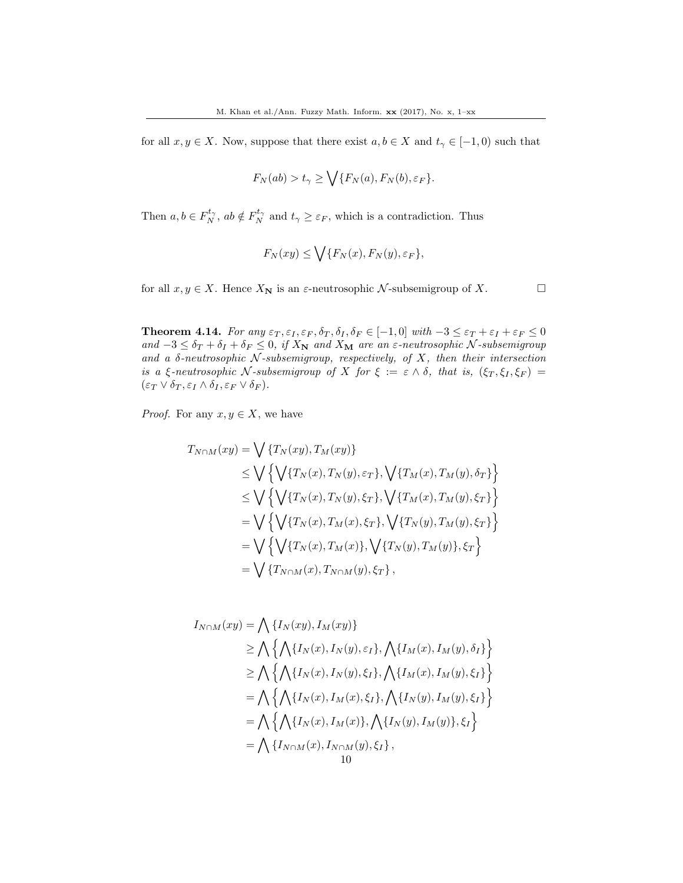for all  $x, y \in X$ . Now, suppose that there exist  $a, b \in X$  and  $t_{\gamma} \in [-1, 0)$  such that

$$
F_N(ab) > t_{\gamma} \ge \bigvee \{F_N(a), F_N(b), \varepsilon_F\}.
$$

Then  $a, b \in F_N^{t_\gamma}$ ,  $ab \notin F_N^{t_\gamma}$  and  $t_\gamma \geq \varepsilon_F$ , which is a contradiction. Thus

$$
F_N(xy) \le \bigvee \{F_N(x), F_N(y), \varepsilon_F\},
$$

for all  $x, y \in X$ . Hence  $X_N$  is an  $\varepsilon$ -neutrosophic  $\mathcal N$ -subsemigroup of X.

**Theorem 4.14.** For any  $\varepsilon_T$ ,  $\varepsilon_I$ ,  $\varepsilon_F$ ,  $\delta_T$ ,  $\delta_I$ ,  $\delta_F \in [-1,0]$  with  $-3 \leq \varepsilon_T + \varepsilon_I + \varepsilon_F \leq 0$ and  $-3 \leq \delta_T + \delta_I + \delta_F \leq 0$ , if  $X_N$  and  $X_M$  are an  $\varepsilon$ -neutrosophic N-subsemigroup and a  $\delta$ -neutrosophic N-subsemigroup, respectively, of X, then their intersection is a ξ-neutrosophic N-subsemigroup of X for  $\xi := \varepsilon \wedge \delta$ , that is,  $(\xi_T, \xi_I, \xi_F) =$  $(\varepsilon_T \vee \delta_T, \varepsilon_I \wedge \delta_I, \varepsilon_F \vee \delta_F).$ 

*Proof.* For any  $x, y \in X$ , we have

$$
T_{N\cap M}(xy) = \bigvee \{T_N(xy), T_M(xy)\}
$$
  
\n
$$
\leq \bigvee \left\{ \bigvee \{T_N(x), T_N(y), \varepsilon_T\}, \bigvee \{T_M(x), T_M(y), \delta_T\} \right\}
$$
  
\n
$$
\leq \bigvee \left\{ \bigvee \{T_N(x), T_N(y), \xi_T\}, \bigvee \{T_M(x), T_M(y), \xi_T\} \right\}
$$
  
\n
$$
= \bigvee \left\{ \bigvee \{T_N(x), T_M(x), \xi_T\}, \bigvee \{T_N(y), T_M(y), \xi_T\} \right\}
$$
  
\n
$$
= \bigvee \left\{ \bigvee \{T_N(x), T_M(x)\}, \bigvee \{T_N(y), T_M(y)\}, \xi_T \right\}
$$
  
\n
$$
= \bigvee \{T_{N\cap M}(x), T_{N\cap M}(y), \xi_T\},
$$

$$
I_{N\cap M}(xy) = \bigwedge \{I_N(xy), I_M(xy)\}
$$
  
\n
$$
\geq \bigwedge \{\bigwedge \{I_N(x), I_N(y), \varepsilon_I\}, \bigwedge \{I_M(x), I_M(y), \delta_I\}\}\
$$
  
\n
$$
\geq \bigwedge \{\bigwedge \{I_N(x), I_N(y), \xi_I\}, \bigwedge \{I_M(x), I_M(y), \xi_I\}\}\
$$
  
\n
$$
= \bigwedge \{\bigwedge \{I_N(x), I_M(x), \xi_I\}, \bigwedge \{I_N(y), I_M(y), \xi_I\}\}\
$$
  
\n
$$
= \bigwedge \{\bigwedge \{I_N(x), I_M(x)\}, \bigwedge \{I_N(y), I_M(y)\}, \xi_I\}\
$$
  
\n
$$
= \bigwedge \{I_{N\cap M}(x), I_{N\cap M}(y), \xi_I\},
$$
  
\n10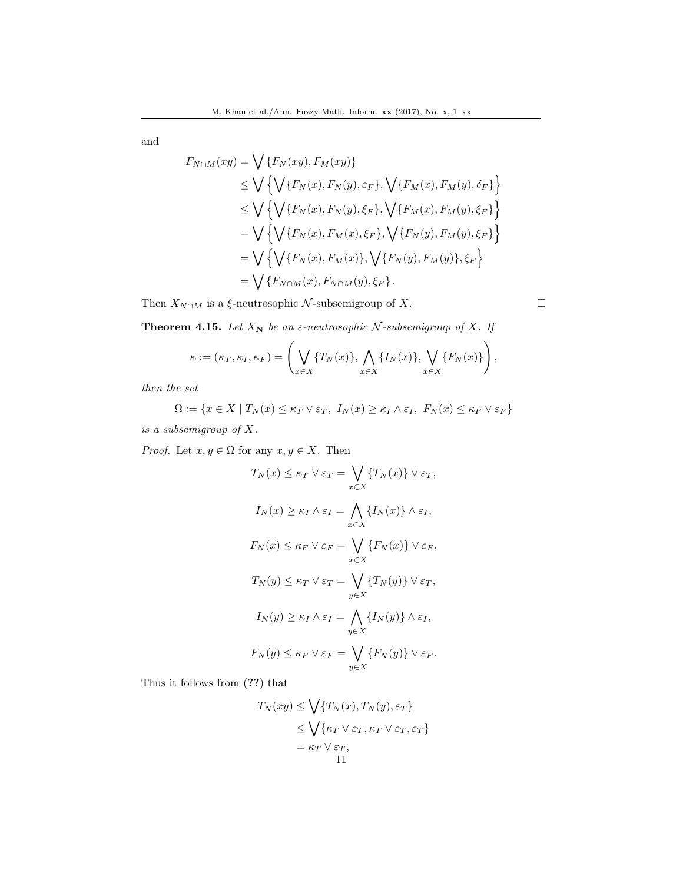$$
F_{N \cap M}(xy) = \bigvee \{F_N(xy), F_M(xy)\}
$$
  
\n
$$
\leq \bigvee \left\{ \bigvee \{F_N(x), F_N(y), \varepsilon_F\}, \bigvee \{F_M(x), F_M(y), \delta_F\} \right\}
$$
  
\n
$$
\leq \bigvee \left\{ \bigvee \{F_N(x), F_N(y), \xi_F\}, \bigvee \{F_M(x), F_M(y), \xi_F\} \right\}
$$
  
\n
$$
= \bigvee \left\{ \bigvee \{F_N(x), F_M(x), \xi_F\}, \bigvee \{F_N(y), F_M(y), \xi_F\} \right\}
$$
  
\n
$$
= \bigvee \left\{ \bigvee \{F_N(x), F_M(x)\}, \bigvee \{F_N(y), F_M(y)\}, \xi_F \right\}
$$
  
\n
$$
= \bigvee \{F_{N \cap M}(x), F_{N \cap M}(y), \xi_F\}.
$$

Then  $X_{N\cap M}$  is a  $\xi$ -neutrosophic  $\mathcal N$ -subsemigroup of X.

**Theorem 4.15.** Let  $X_N$  be an  $\varepsilon$ -neutrosophic  $N$ -subsemigroup of  $X$ . If

$$
\kappa := (\kappa_T, \kappa_I, \kappa_F) = \left( \bigvee_{x \in X} \{T_N(x)\}, \bigwedge_{x \in X} \{I_N(x)\}, \bigvee_{x \in X} \{F_N(x)\}\right),
$$

then the set

$$
\Omega := \{ x \in X \mid T_N(x) \le \kappa_T \vee \varepsilon_T, I_N(x) \ge \kappa_I \wedge \varepsilon_I, F_N(x) \le \kappa_F \vee \varepsilon_F \}
$$

is a subsemigroup of X.

*Proof.* Let  $x, y \in \Omega$  for any  $x, y \in X$ . Then

$$
T_N(x) \le \kappa_T \vee \varepsilon_T = \bigvee_{x \in X} \{T_N(x)\} \vee \varepsilon_T,
$$
  
\n
$$
I_N(x) \ge \kappa_I \wedge \varepsilon_I = \bigwedge_{x \in X} \{I_N(x)\} \wedge \varepsilon_I,
$$
  
\n
$$
F_N(x) \le \kappa_F \vee \varepsilon_F = \bigvee_{x \in X} \{F_N(x)\} \vee \varepsilon_F,
$$
  
\n
$$
T_N(y) \le \kappa_T \vee \varepsilon_T = \bigvee_{y \in X} \{T_N(y)\} \vee \varepsilon_T,
$$
  
\n
$$
I_N(y) \ge \kappa_I \wedge \varepsilon_I = \bigwedge_{y \in X} \{I_N(y)\} \wedge \varepsilon_I,
$$
  
\n
$$
F_N(y) \le \kappa_F \vee \varepsilon_F = \bigvee_{y \in X} \{F_N(y)\} \vee \varepsilon_F.
$$

Thus it follows from (??) that

$$
T_N(xy) \le \bigvee \{T_N(x), T_N(y), \varepsilon_T\}
$$
  
\n
$$
\le \bigvee \{\kappa_T \vee \varepsilon_T, \kappa_T \vee \varepsilon_T, \varepsilon_T\}
$$
  
\n
$$
= \kappa_T \vee \varepsilon_T,
$$
  
\n11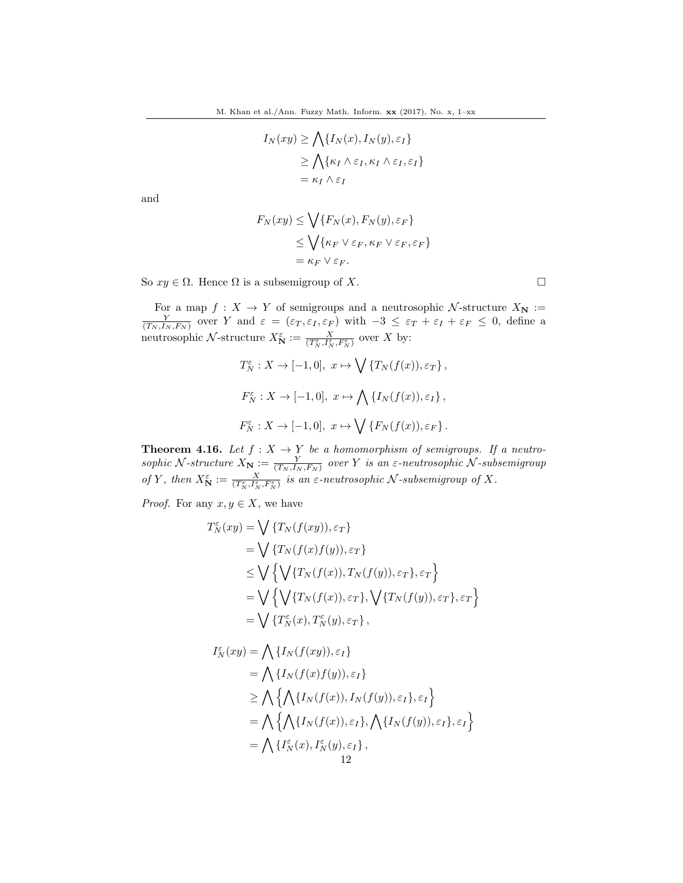$$
I_N(xy) \ge \bigwedge \{I_N(x), I_N(y), \varepsilon_I\}
$$
  
\n
$$
\ge \bigwedge \{\kappa_I \wedge \varepsilon_I, \kappa_I \wedge \varepsilon_I, \varepsilon_I\}
$$
  
\n
$$
= \kappa_I \wedge \varepsilon_I
$$

$$
F_N(xy) \le \bigvee \{ F_N(x), F_N(y), \varepsilon_F \}
$$
  
 
$$
\le \bigvee \{ \kappa_F \vee \varepsilon_F, \kappa_F \vee \varepsilon_F, \varepsilon_F \}
$$
  
=  $\kappa_F \vee \varepsilon_F$ .

So  $xy \in \Omega$ . Hence  $\Omega$  is a subsemigroup of X.

For a map  $f: X \to Y$  of semigroups and a neutrosophic N-structure  $X_{\mathbf{N}} := \frac{Y}{(T_N, I_N, F_N)}$  over Y and  $\varepsilon = (\varepsilon_T, \varepsilon_I, \varepsilon_F)$  with  $-3 \leq \varepsilon_T + \varepsilon_I + \varepsilon_F \leq 0$ , define a neutrosophic N-structure  $X_N^{\varepsilon} := \frac{X}{(T_N^{\varepsilon}, I_N^{\varepsilon}, F_N^{\varepsilon})}$  over X by:

$$
T_N^{\varepsilon}: X \to [-1, 0], \ x \mapsto \bigvee \{T_N(f(x)), \varepsilon_T\},
$$
  

$$
F_N^{\varepsilon}: X \to [-1, 0], \ x \mapsto \bigwedge \{I_N(f(x)), \varepsilon_I\},
$$
  

$$
F_N^{\varepsilon}: X \to [-1, 0], \ x \mapsto \bigvee \{F_N(f(x)), \varepsilon_F\}.
$$

**Theorem 4.16.** Let  $f: X \to Y$  be a homomorphism of semigroups. If a neutrosophic N-structure  $X_N := \frac{Y}{(T_N, I_N, F_N)}$  over Y is an  $\varepsilon$ -neutrosophic N-subsemigroup of Y, then  $X^{\varepsilon}_{\mathbf{N}} := \frac{X}{(T^{\varepsilon}_{N},F^{\varepsilon}_{N},F^{\varepsilon}_{N})}$  is an  $\varepsilon$ -neutrosophic N-subsemigroup of X.

*Proof.* For any  $x, y \in X$ , we have

$$
T_N^{\varepsilon}(xy) = \bigvee \{T_N(f(xy)), \varepsilon_T\}
$$
  
=  $\bigvee \{T_N(f(x)f(y)), \varepsilon_T\}$   
 $\leq \bigvee \{\bigvee \{T_N(f(x)), T_N(f(y)), \varepsilon_T\}, \varepsilon_T\}$   
=  $\bigvee \{\bigvee \{T_N(f(x)), \varepsilon_T\}, \bigvee \{T_N(f(y)), \varepsilon_T\}, \varepsilon_T\}$   
=  $\bigvee \{T_N^{\varepsilon}(x), T_N^{\varepsilon}(y), \varepsilon_T\},$ 

$$
I_N^{\varepsilon}(xy) = \bigwedge \{I_N(f(xy)), \varepsilon_I\}
$$
  
=  $\bigwedge \{I_N(f(x)f(y)), \varepsilon_I\}$   

$$
\geq \bigwedge \{\bigwedge \{I_N(f(x)), I_N(f(y)), \varepsilon_I\}, \varepsilon_I\}
$$
  
=  $\bigwedge \{\bigwedge \{I_N(f(x)), \varepsilon_I\}, \bigwedge \{I_N(f(y)), \varepsilon_I\}, \varepsilon_I\}$   
=  $\bigwedge \{I_N^{\varepsilon}(x), I_N^{\varepsilon}(y), \varepsilon_I\},$   
12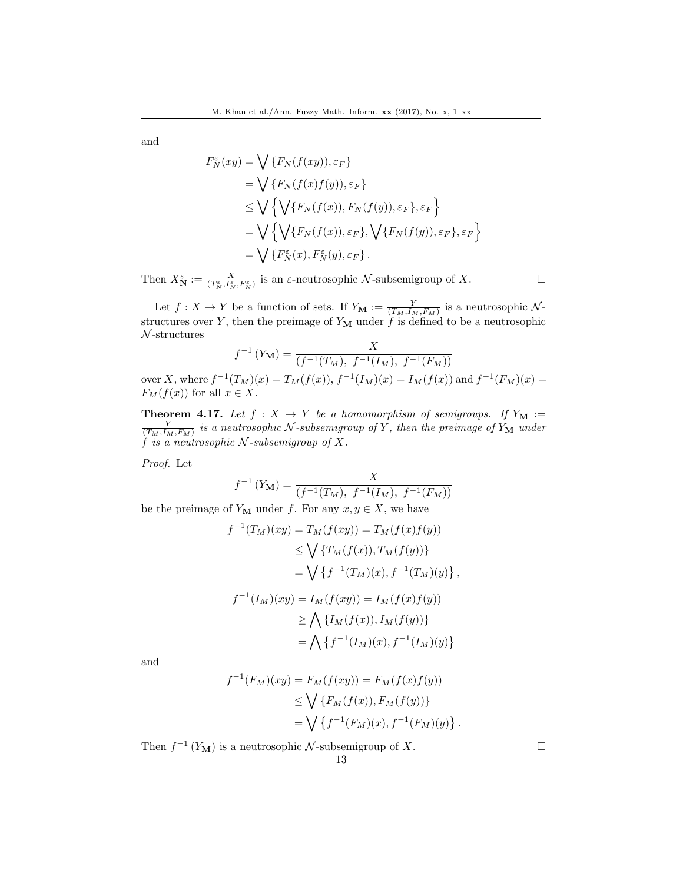$$
F_N^{\varepsilon}(xy) = \bigvee \{F_N(f(xy)), \varepsilon_F\}
$$
  
= 
$$
\bigvee \{F_N(f(x)f(y)), \varepsilon_F\}
$$
  

$$
\leq \bigvee \{\bigvee \{F_N(f(x)), F_N(f(y)), \varepsilon_F\}, \varepsilon_F\}
$$
  
= 
$$
\bigvee \{\bigvee \{F_N(f(x)), \varepsilon_F\}, \bigvee \{F_N(f(y)), \varepsilon_F\}, \varepsilon_F\}
$$
  
= 
$$
\bigvee \{F_N^{\varepsilon}(x), F_N^{\varepsilon}(y), \varepsilon_F\}.
$$

Then  $X_N^{\varepsilon} := \frac{X}{(T_N^{\varepsilon}, I_N^{\varepsilon}, F_N^{\varepsilon})}$  is an  $\varepsilon$ -neutrosophic  $\mathcal N$ -subsemigroup of X.

Let  $f: X \to Y$  be a function of sets. If  $Y_{\mathbf{M}} := \frac{Y}{(T_M, I_M, F_M)}$  is a neutrosophic  $\mathcal{N}$ structures over Y, then the preimage of  $Y_M$  under  $\hat{f}$  is defined to be a neutrosophic  $\mathcal{N}$ -structures

$$
f^{-1}(Y_M) = \frac{X}{(f^{-1}(T_M), f^{-1}(I_M), f^{-1}(F_M))}
$$

over X, where  $f^{-1}(T_M)(x) = T_M(f(x)), f^{-1}(I_M)(x) = I_M(f(x))$  and  $f^{-1}(F_M)(x) =$  $F_M(f(x))$  for all  $x \in X$ .

**Theorem 4.17.** Let  $f : X \to Y$  be a homomorphism of semigroups. If  $Y_M := \frac{Y}{(T_M, I_M, F_M)}$  is a neutrosophic N-subsemigroup of Y, then the preimage of  $Y_M$  under  $f$  is a neutrosophic N-subsemigroup of X.

Proof. Let

$$
f^{-1}(Y_{\mathbf{M}}) = \frac{X}{(f^{-1}(T_M), f^{-1}(I_M), f^{-1}(F_M))}
$$

be the preimage of  $Y_M$  under f. For any  $x, y \in X$ , we have

$$
f^{-1}(T_M)(xy) = T_M(f(xy)) = T_M(f(x)f(y))
$$
  
\n
$$
\leq \bigvee \{T_M(f(x)), T_M(f(y))\}
$$
  
\n
$$
= \bigvee \{f^{-1}(T_M)(x), f^{-1}(T_M)(y)\},
$$
  
\n
$$
f^{-1}(I_M)(xy) = I_M(f(xy)) = I_M(f(x)f(y))
$$
  
\n
$$
\geq \bigwedge \{I_M(f(x)), I_M(f(y))\}
$$
  
\n
$$
= \bigwedge \{f^{-1}(I_M)(x), f^{-1}(I_M)(y)\}
$$

and

$$
f^{-1}(F_M)(xy) = F_M(f(xy)) = F_M(f(x)f(y))
$$
  
\n
$$
\leq \bigvee \{F_M(f(x)), F_M(f(y))\}
$$
  
\n
$$
= \bigvee \{f^{-1}(F_M)(x), f^{-1}(F_M)(y)\}.
$$

13

Then  $f^{-1}(Y_M)$  is a neutrosophic N-subsemigroup of X.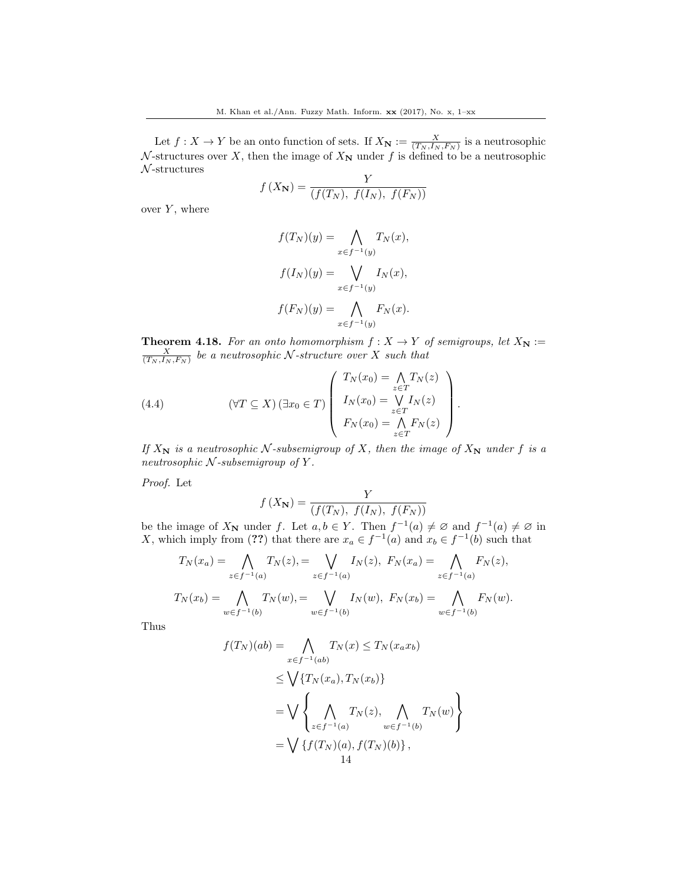Let  $f: X \to Y$  be an onto function of sets. If  $X_{\mathbf{N}} := \frac{X}{(T_N, I_N, F_N)}$  is a neutrosophic N-structures over X, then the image of  $X_N$  under f is defined to be a neutrosophic  $\mathcal{N}$ -structures

$$
f(X_{\mathbf{N}}) = \frac{Y}{(f(T_N), f(I_N), f(F_N))}
$$

over  $Y$ , where

$$
f(T_N)(y) = \bigwedge_{x \in f^{-1}(y)} T_N(x),
$$

$$
f(I_N)(y) = \bigvee_{x \in f^{-1}(y)} I_N(x),
$$

$$
f(F_N)(y) = \bigwedge_{x \in f^{-1}(y)} F_N(x).
$$

**Theorem 4.18.** For an onto homomorphism  $f : X \to Y$  of semigroups, let  $X_N :=$  $\frac{X}{(T_N, I_N, F_N)}$  be a neutrosophic N-structure over X such that

(4.4) 
$$
(\forall T \subseteq X) (\exists x_0 \in T) \begin{pmatrix} T_N(x_0) = \bigwedge_{z \in T} T_N(z) \\ I_N(x_0) = \bigvee_{z \in T} I_N(z) \\ F_N(x_0) = \bigwedge_{z \in T} F_N(z) \end{pmatrix}.
$$

If  $X_N$  is a neutrosophic N-subsemigroup of X, then the image of  $X_N$  under f is a neutrosophic  $N$ -subsemigroup of Y.

Proof. Let

$$
f(X_{\mathbf{N}}) = \frac{Y}{(f(T_N), f(I_N), f(F_N))}
$$

be the image of  $X_N$  under f. Let  $a, b \in Y$ . Then  $f^{-1}(a) \neq \emptyset$  and  $f^{-1}(a) \neq \emptyset$  in X, which imply from (??) that there are  $x_a \in f^{-1}(a)$  and  $x_b \in f^{-1}(b)$  such that

$$
T_N(x_a) = \bigwedge_{z \in f^{-1}(a)} T_N(z), = \bigvee_{z \in f^{-1}(a)} I_N(z), \ F_N(x_a) = \bigwedge_{z \in f^{-1}(a)} F_N(z),
$$
  

$$
T_N(x_b) = \bigwedge_{w \in f^{-1}(b)} T_N(w), = \bigvee_{w \in f^{-1}(b)} I_N(w), \ F_N(x_b) = \bigwedge_{w \in f^{-1}(b)} F_N(w).
$$

Thus

$$
f(T_N)(ab) = \bigwedge_{x \in f^{-1}(ab)} T_N(x) \le T_N(x_a x_b)
$$
  
\n
$$
\le \bigvee \{T_N(x_a), T_N(x_b)\}
$$
  
\n
$$
= \bigvee \left\{ \bigwedge_{z \in f^{-1}(a)} T_N(z), \bigwedge_{w \in f^{-1}(b)} T_N(w) \right\}
$$
  
\n
$$
= \bigvee \{f(T_N)(a), f(T_N)(b)\},
$$
  
\n14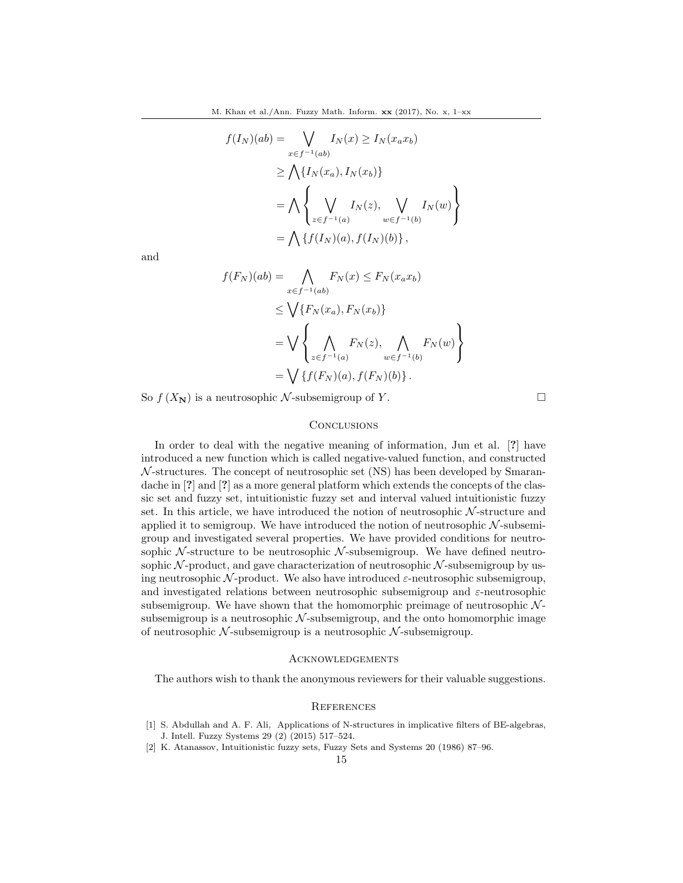$$
f(I_N)(ab) = \bigvee_{x \in f^{-1}(ab)} I_N(x) \ge I_N(x_a x_b)
$$
  
\n
$$
\ge \bigwedge \{I_N(x_a), I_N(x_b)\}
$$
  
\n
$$
= \bigwedge \left\{ \bigvee_{z \in f^{-1}(a)} I_N(z), \bigvee_{w \in f^{-1}(b)} I_N(w) \right\}
$$
  
\n
$$
= \bigwedge \{f(I_N)(a), f(I_N)(b)\},
$$

$$
f(F_N)(ab) = \bigwedge_{x \in f^{-1}(ab)} F_N(x) \le F_N(x_a x_b)
$$
  
\n
$$
\le \bigvee \{F_N(x_a), F_N(x_b)\}
$$
  
\n
$$
= \bigvee \left\{ \bigwedge_{z \in f^{-1}(a)} F_N(z), \bigwedge_{w \in f^{-1}(b)} F_N(w) \right\}
$$
  
\n
$$
= \bigvee \{f(F_N)(a), f(F_N)(b)\}.
$$

So  $f(X_N)$  is a neutrosophic N-subsemigroup of Y.

## **CONCLUSIONS**

In order to deal with the negative meaning of information, Jun et al. [?] have introduced a new function which is called negative-valued function, and constructed  $N$ -structures. The concept of neutrosophic set (NS) has been developed by Smarandache in [?] and [?] as a more general platform which extends the concepts of the classic set and fuzzy set, intuitionistic fuzzy set and interval valued intuitionistic fuzzy set. In this article, we have introduced the notion of neutrosophic  $N$ -structure and applied it to semigroup. We have introduced the notion of neutrosophic  $N$ -subsemigroup and investigated several properties. We have provided conditions for neutrosophic  $N$ -structure to be neutrosophic  $N$ -subsemigroup. We have defined neutrosophic  $N$ -product, and gave characterization of neutrosophic  $N$ -subsemigroup by using neutrosophic N-product. We also have introduced  $\varepsilon$ -neutrosophic subsemigroup, and investigated relations between neutrosophic subsemigroup and  $\varepsilon$ -neutrosophic subsemigroup. We have shown that the homomorphic preimage of neutrosophic  $\mathcal{N}$ subsemigroup is a neutrosophic  $N$ -subsemigroup, and the onto homomorphic image of neutrosophic  $\mathcal N$ -subsemigroup is a neutrosophic  $\mathcal N$ -subsemigroup.

#### Acknowledgements

The authors wish to thank the anonymous reviewers for their valuable suggestions.

## **REFERENCES**

- [1] S. Abdullah and A. F. Ali, Applications of N-structures in implicative filters of BE-algebras, J. Intell. Fuzzy Systems 29 (2) (2015) 517–524.
- [2] K. Atanassov, Intuitionistic fuzzy sets, Fuzzy Sets and Systems 20 (1986) 87–96.